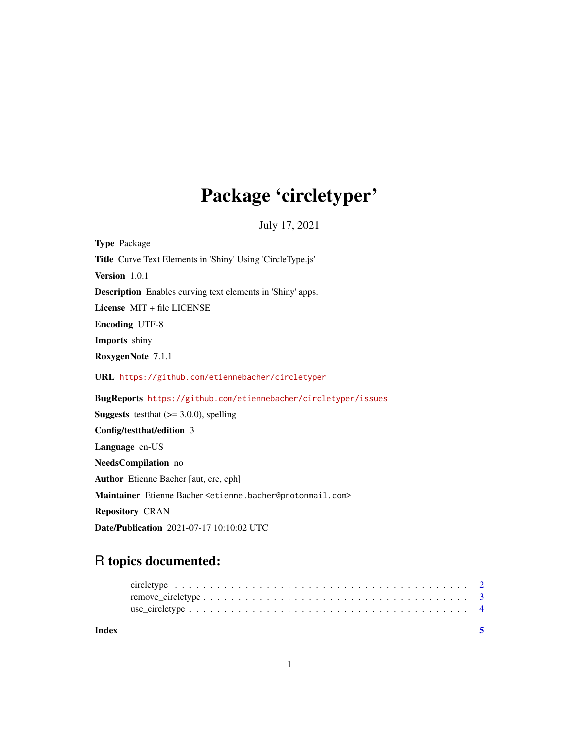## Package 'circletyper'

July 17, 2021

| <b>Type Package</b>                                                                       |
|-------------------------------------------------------------------------------------------|
| Title Curve Text Elements in 'Shiny' Using 'CircleType.js'                                |
| Version 1.0.1                                                                             |
| <b>Description</b> Enables curving text elements in 'Shiny' apps.                         |
| License MIT + file LICENSE                                                                |
| <b>Encoding UTF-8</b>                                                                     |
| <b>Imports</b> shiny                                                                      |
| RoxygenNote 7.1.1                                                                         |
| URL https://github.com/etiennebacher/circletyper                                          |
|                                                                                           |
| BugReports https://github.com/etiennebacher/circletyper/issues                            |
| <b>Suggests</b> test that $(>= 3.0.0)$ , spelling                                         |
| Config/testthat/edition 3                                                                 |
| Language en-US                                                                            |
| <b>NeedsCompilation</b> no                                                                |
| Author Etienne Bacher [aut, cre, cph]                                                     |
| Maintainer Etienne Bacher <etienne.bacher@protonmail.com></etienne.bacher@protonmail.com> |
| <b>Repository CRAN</b>                                                                    |

### R topics documented:

| Index |  |  |  |  |  |  |  |  |  |  |  |  |  |  |  |  | -5 |
|-------|--|--|--|--|--|--|--|--|--|--|--|--|--|--|--|--|----|
|       |  |  |  |  |  |  |  |  |  |  |  |  |  |  |  |  |    |
|       |  |  |  |  |  |  |  |  |  |  |  |  |  |  |  |  |    |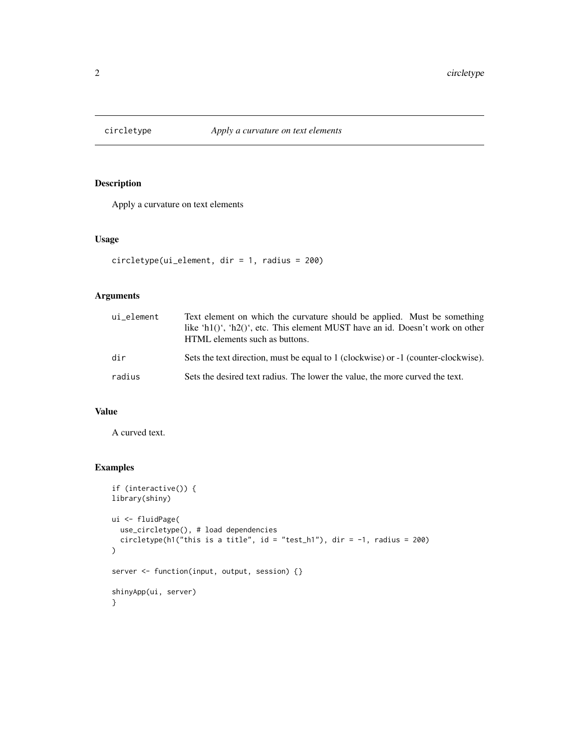<span id="page-1-0"></span>

#### Description

Apply a curvature on text elements

#### Usage

```
circletype(ui_element, dir = 1, radius = 200)
```
#### Arguments

| ui element | Text element on which the curvature should be applied. Must be something<br>like 'h1()', 'h2()', etc. This element MUST have an id. Doesn't work on other<br>HTML elements such as buttons. |
|------------|---------------------------------------------------------------------------------------------------------------------------------------------------------------------------------------------|
| dir        | Sets the text direction, must be equal to 1 (clockwise) or -1 (counter-clockwise).                                                                                                          |
| radius     | Sets the desired text radius. The lower the value, the more curved the text.                                                                                                                |

#### Value

A curved text.

#### Examples

```
if (interactive()) {
library(shiny)
ui <- fluidPage(
  use_circletype(), # load dependencies
  circletype(h1("this is a title", id = "test_h1"), dir = -1, radius = 200)
\mathcal{L}server <- function(input, output, session) {}
shinyApp(ui, server)
}
```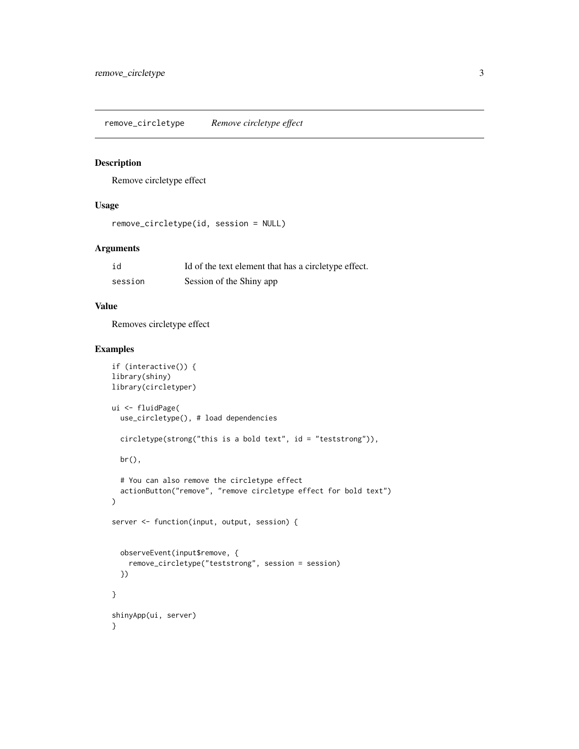<span id="page-2-0"></span>remove\_circletype *Remove circletype effect*

#### Description

Remove circletype effect

#### Usage

```
remove_circletype(id, session = NULL)
```
#### Arguments

| id      | Id of the text element that has a circletype effect. |
|---------|------------------------------------------------------|
| session | Session of the Shiny app                             |

#### Value

Removes circletype effect

#### Examples

```
if (interactive()) {
library(shiny)
library(circletyper)
ui <- fluidPage(
  use_circletype(), # load dependencies
  circletype(strong("this is a bold text", id = "teststrong")),
  br(),
  # You can also remove the circletype effect
  actionButton("remove", "remove circletype effect for bold text")
\mathcal{L}server <- function(input, output, session) {
  observeEvent(input$remove, {
    remove_circletype("teststrong", session = session)
  })
}
shinyApp(ui, server)
}
```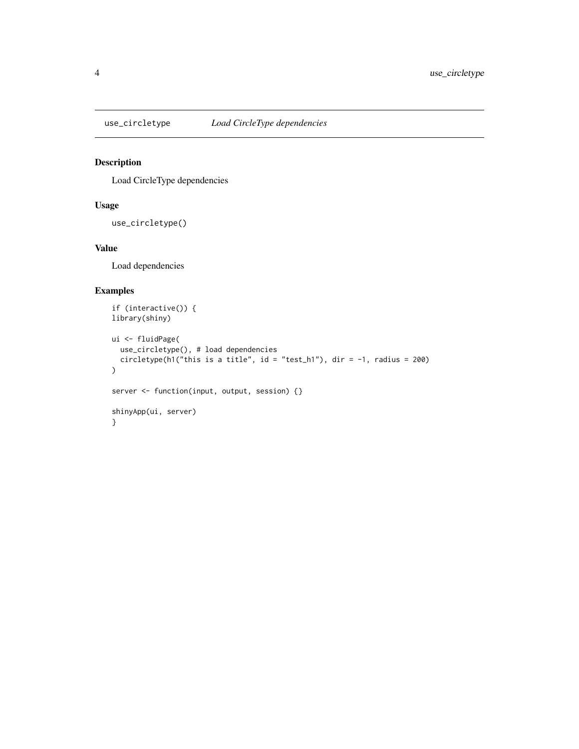<span id="page-3-0"></span>

#### Description

Load CircleType dependencies

#### Usage

use\_circletype()

#### Value

Load dependencies

#### Examples

```
if (interactive()) {
library(shiny)
ui <- fluidPage(
  use_circletype(), # load dependencies
  circletype(h1("this is a title", id = "test_h1"), dir = -1, radius = 200)
)
server <- function(input, output, session) {}
shinyApp(ui, server)
}
```